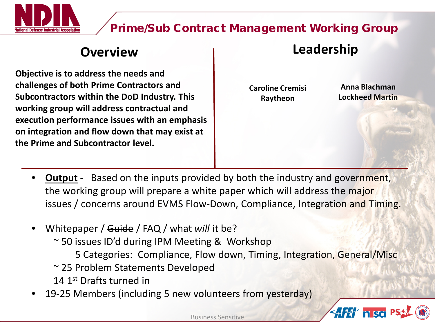

#### Prime/Sub Contract Management Working Group

**Objective is to address the needs and challenges of both Prime Contractors and Subcontractors within the DoD Industry. This working group will address contractual and execution performance issues with an emphasis on integration and flow down that may exist at the Prime and Subcontractor level.** 

### **Overview Leadership**

**Caroline Cremisi Raytheon**

**Anna Blachman Lockheed Martin**

1

**AFET n so** 

- **Output** Based on the inputs provided by both the industry and government, the working group will prepare a white paper which will address the major issues / concerns around EVMS Flow-Down, Compliance, Integration and Timing.
- Whitepaper / Guide / FAQ / what *will* it be?
	- ~ 50 issues ID'd during IPM Meeting & Workshop
		- 5 Categories: Compliance, Flow down, Timing, Integration, General/Misc
	- ~ 25 Problem Statements Developed
	- 14 1st Drafts turned in
- 19-25 Members (including 5 new volunteers from yesterday)

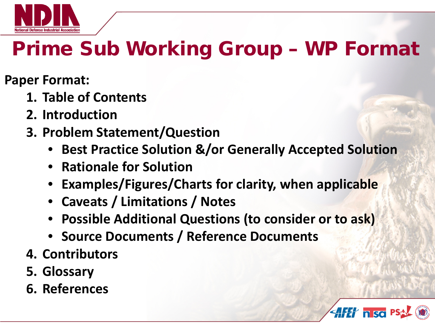

# Prime Sub Working Group – WP Format

**Paper Format:**

- **1. Table of Contents**
- **2. Introduction**
- **3. Problem Statement/Question**
	- **Best Practice Solution &/or Generally Accepted Solution**
	- **Rationale for Solution**
	- **Examples/Figures/Charts for clarity, when applicable**
	- **Caveats / Limitations / Notes**
	- **Possible Additional Questions (to consider or to ask)**
	- **Source Documents / Reference Documents**
- **4. Contributors**
- **5. Glossary**
- **6. References**